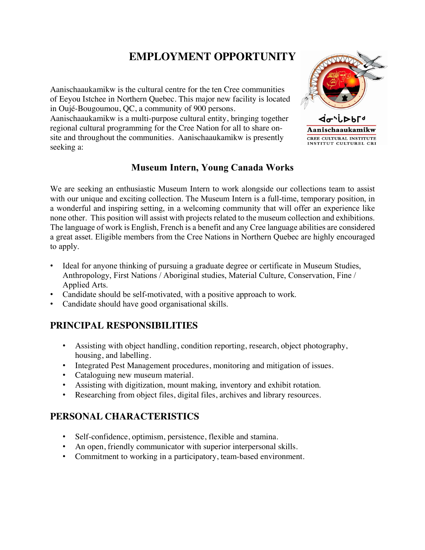# **EMPLOYMENT OPPORTUNITY**

Aanischaaukamikw is the cultural centre for the ten Cree communities of Eeyou Istchee in Northern Quebec. This major new facility is located in Oujé-Bougoumou, QC, a community of 900 persons.

Aanischaaukamikw is a multi-purpose cultural entity, bringing together regional cultural programming for the Cree Nation for all to share onsite and throughout the communities. Aanischaaukamikw is presently seeking a:



### **Museum Intern, Young Canada Works**

We are seeking an enthusiastic Museum Intern to work alongside our collections team to assist with our unique and exciting collection. The Museum Intern is a full-time, temporary position, in a wonderful and inspiring setting, in a welcoming community that will offer an experience like none other. This position will assist with projects related to the museum collection and exhibitions. The language of work is English, French is a benefit and any Cree language abilities are considered a great asset. Eligible members from the Cree Nations in Northern Quebec are highly encouraged to apply.

- Ideal for anyone thinking of pursuing a graduate degree or certificate in Museum Studies, Anthropology, First Nations / Aboriginal studies, Material Culture, Conservation, Fine / Applied Arts.
- Candidate should be self-motivated, with a positive approach to work.
- Candidate should have good organisational skills.

#### **PRINCIPAL RESPONSIBILITIES**

- Assisting with object handling, condition reporting, research, object photography, housing, and labelling.
- Integrated Pest Management procedures, monitoring and mitigation of issues.
- Cataloguing new museum material.
- Assisting with digitization, mount making, inventory and exhibit rotation.
- Researching from object files, digital files, archives and library resources.

## **PERSONAL CHARACTERISTICS**

- Self-confidence, optimism, persistence, flexible and stamina.
- An open, friendly communicator with superior interpersonal skills.
- Commitment to working in a participatory, team-based environment.